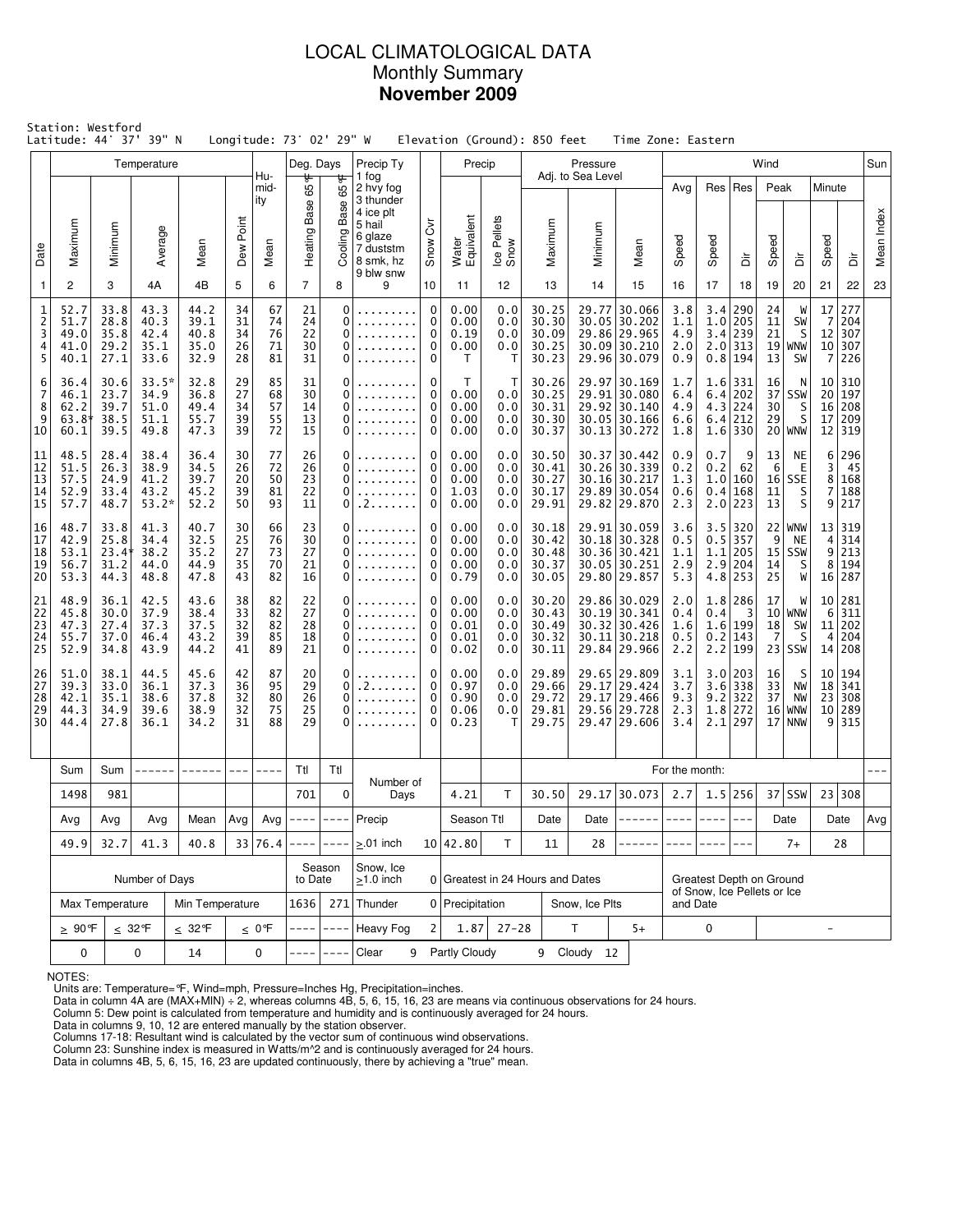# LOCAL CLIMATOLOGICAL DATA Monthly Summary **November 2009**

|                                    | Station: Westford<br>Latitude: 44° 37' 39" N |                                       |                                         |                                      |                            | Longitude: 73° 02' 29" W   |                            |                                        |                                                        |                                  | Elevation (Ground): 850 feet         |                                 |                                           |                                  |    | Time Zone: Eastern                                                           |                                         |            |                                                               |                                        |                                        |                                         |                                    |            |  |
|------------------------------------|----------------------------------------------|---------------------------------------|-----------------------------------------|--------------------------------------|----------------------------|----------------------------|----------------------------|----------------------------------------|--------------------------------------------------------|----------------------------------|--------------------------------------|---------------------------------|-------------------------------------------|----------------------------------|----|------------------------------------------------------------------------------|-----------------------------------------|------------|---------------------------------------------------------------|----------------------------------------|----------------------------------------|-----------------------------------------|------------------------------------|------------|--|
|                                    |                                              |                                       | Temperature                             |                                      |                            | Hu-                        | Deg. Days                  |                                        | Precip Ty                                              |                                  | Precip                               |                                 |                                           | Pressure                         |    |                                                                              |                                         |            |                                                               | Wind                                   |                                        |                                         |                                    | Sun        |  |
|                                    |                                              |                                       |                                         |                                      | Point                      | mid-<br>ity                | 65 °F<br>Base              | ᡃᡛ<br>65<br>Base                       | 1 fog<br>2 hvy fog<br>3 thunder<br>4 ice plt<br>5 hail | $\rm \breve{\delta}$             |                                      |                                 |                                           | Adj. to Sea Level                |    |                                                                              | Avg                                     |            | Res   Res                                                     | Peak                                   |                                        | Minute                                  |                                    |            |  |
| Date                               | Maximum                                      | Minimum                               | Average                                 | Mean                                 | Dew <sup>1</sup>           | Mean                       | Heating F                  | Cooling                                | 6 glaze<br>7 duststm<br>8 smk, hz<br>9 blw snw         | Snow                             | Water<br>Equivalent                  | Ice Pellets<br>Snow             | Maximum                                   | Minimum                          |    | Mean                                                                         | Speed                                   | Speed      | à                                                             | Speed                                  | à                                      | Speed                                   | ă                                  | Mean Index |  |
| 1                                  | 2                                            | 3                                     | 4A                                      | 4B                                   | 5                          | 6                          | $\overline{7}$             | 8                                      | 9                                                      | 10                               | 11                                   | 12                              | 13                                        | 14                               |    | 15                                                                           | 16                                      | 17         | 18                                                            | 19                                     | 20                                     | 21                                      | 22                                 | 23         |  |
| 1<br>$\overline{c}$<br>3<br>4<br>5 | 52.7<br>51.7<br>49.0<br>41.0<br>40.1         | 33.8<br>28.8<br>35.8<br>29.2<br>27.1  | 43.3<br>40.3<br>42.4<br>35.1<br>33.6    | 44.2<br>39.1<br>40.8<br>35.0<br>32.9 | 34<br>31<br>34<br>26<br>28 | 67<br>74<br>76<br>71<br>81 | 21<br>24<br>22<br>30<br>31 | $\mathbf 0$<br>0<br>$\Omega$<br>0<br>0 |                                                        | $\mathbf 0$<br>0<br>0<br>0<br>0  | 0.00<br>0.00<br>0.19<br>0.00<br>T    | 0.0<br>0.0<br>0.0<br>0.0<br>т   | 30.25<br>30.30<br>30.09<br>30.25<br>30.23 | 29.77                            |    | 30.066<br>30.05 30.202<br>29.86 29.965<br>30.09 30.210<br>29.96 30.079       | 3.8<br>1.1<br>4.9<br>2.0<br>0.9         | 3.4<br>1.0 | 290<br>205<br>3.4 239<br>$2.0$ 313<br>$0.8$ 194               | 24<br>11<br>21<br>19<br>13             | W<br>SW<br>S<br><b>WNW</b><br>SW       | 17<br>7<br>12<br>10 <sup>1</sup><br>7   | 277<br>204<br>307<br>307<br>226    |            |  |
| 6<br>7<br>8<br>9<br>10             | 36.4<br>46.1<br>62.2<br>$63.8*$<br>60.1      | 30.6<br>23.7<br>39.7<br>38.5<br>39.5  | 33.5*<br>34.9<br>51.0<br>51.1<br>49.8   | 32.8<br>36.8<br>49.4<br>55.7<br>47.3 | 29<br>27<br>34<br>39<br>39 | 85<br>68<br>57<br>55<br>72 | 31<br>30<br>14<br>13<br>15 | 0<br>0<br>0<br>0<br>0                  |                                                        | 0<br>0<br>$\mathbf 0$<br>0<br>0  | т<br>0.00<br>0.00<br>0.00<br>0.00    | т<br>0.0<br>0.0<br>0.0<br>0.0   | 30.26<br>30.25<br>30.31<br>30.30<br>30.37 |                                  |    | 29.97 30.169<br>29.91 30.080<br>29.92 30.140<br>30.05 30.166<br>30.13 30.272 | 1.7<br>6.4<br>4.9<br>6.6<br>1.8         | 4.3        | $1.6$   331<br>6.4 202<br>224<br>$6.4$   212<br>$1.6$ 330     | 16<br>37<br>30<br>29                   | N<br>SSW<br>S<br>S<br>$20$   WNW       | 10 <sub>1</sub><br>20<br>16<br>17<br>12 | 310<br>197<br>208<br>209<br>319    |            |  |
| 11<br>12<br>13<br>14<br>15         | 48.5<br>51.5<br>57.5<br>52.9<br>57.7         | 28.4<br>26.3<br>24.9<br>33.4<br>48.7  | 38.4<br>38.9<br>41.2<br>43.2<br>$53.2*$ | 36.4<br>34.5<br>39.7<br>45.2<br>52.2 | 30<br>26<br>20<br>39<br>50 | 77<br>72<br>50<br>81<br>93 | 26<br>26<br>23<br>22<br>11 | 0<br>0<br>0<br>$\Omega$<br>0           | .<br>. 2                                               | 0<br>0<br>0<br>0<br>0            | 0.00<br>0.00<br>0.00<br>1.03<br>0.00 | 0.0<br>0.0<br>0.0<br>0.0<br>0.0 | 30.50<br>30.41<br>30.27<br>30.17<br>29.91 | 30.37                            |    | 30.442<br>30.26 30.339<br>30.16 30.217<br>29.89 30.054<br>29.82 29.870       | 0.9<br>0.2<br>1.3<br>0.6<br>2.3         | 0.7<br>0.2 | 9<br>62<br>1.0 160<br>0.4 168<br>$2.0$   223                  | 13<br>6<br>16 <sup>1</sup><br>11<br>13 | NE<br>Е<br>SSE<br>S<br>S               | 6<br>3<br>8<br>7<br>9                   | 296<br>-45<br>168<br>188<br>217    |            |  |
| 16<br>17<br>18<br>19<br>20         | 48.7<br>42.9<br>53.1<br>56.7<br>53.3         | 33.8<br>25.8<br>23.41<br>31.2<br>44.3 | 41.3<br>34.4<br>38.2<br>44.0<br>48.8    | 40.7<br>32.5<br>35.2<br>44.9<br>47.8 | 30<br>25<br>27<br>35<br>43 | 66<br>76<br>73<br>70<br>82 | 23<br>30<br>27<br>21<br>16 | $\Omega$<br>0<br>0<br>0<br>0           | .                                                      | 0<br>0<br>0<br>$\mathbf 0$<br>0  | 0.00<br>0.00<br>0.00<br>0.00<br>0.79 | 0.0<br>0.0<br>0.0<br>0.0<br>0.0 | 30.18<br>30.42<br>30.48<br>30.37<br>30.05 |                                  |    | 29.91 30.059<br>30.18 30.328<br>30.36 30.421<br>30.05 30.251<br>29.80 29.857 | 3.6<br>0.5<br>1.1<br>2.9<br>5.3         | 2.9        | $3.5$ 320<br>$0.5$ 357<br>$1.1$   205<br>  204<br>$4.8$   253 | 9<br>14<br>25                          | $22$   WNW<br>NE<br>$15$ SSW<br>S<br>W | 13<br>4<br>9<br>8                       | 319<br>314<br>213<br>194<br>16 287 |            |  |
| 21<br>22<br>23<br>24<br>25         | 48.9<br>45.8<br>47.3<br>55.7<br>52.9         | 36.1<br>30.0<br>27.4<br>37.0<br>34.8  | 42.5<br>37.9<br>37.3<br>46.4<br>43.9    | 43.6<br>38.4<br>37.5<br>43.2<br>44.2 | 38<br>33<br>32<br>39<br>41 | 82<br>82<br>82<br>85<br>89 | 22<br>27<br>28<br>18<br>21 | $\Omega$<br>$\Omega$<br>0<br>0<br>0    |                                                        | 0<br>0<br>0<br>0<br>0            | 0.00<br>0.00<br>0.01<br>0.01<br>0.02 | 0.0<br>0.0<br>0.0<br>0.0<br>0.0 | 30.20<br>30.43<br>30.49<br>30.32<br>30.11 |                                  |    | 29.86 30.029<br>30.19 30.341<br>30.32 30.426<br>30.11 30.218<br>29.84 29.966 | 2.0<br>0.4<br>1.6<br>0.5<br>2.2         | 0.4        | $1.8$   286<br>3<br>1.6 199<br>$0.2$ 143<br>$2.2$   199       | 17<br>10 <sub>1</sub><br>18<br>-7      | W<br>  WNW<br>SW<br>S<br>$23$ SSW      | 6<br>11<br>4<br>14                      | 10 281<br>311<br>202<br>204<br>208 |            |  |
| 26<br>27<br>28<br>29<br>30         | 51.0<br>39.3<br>42.1<br>44.3<br>44.4         | 38.1<br>33.0<br>35.1<br>34.9<br>27.8  | 44.5<br>36.1<br>38.6<br>39.6<br>36.1    | 45.6<br>37.3<br>37.8<br>38.9<br>34.2 | 42<br>36<br>32<br>32<br>31 | 87<br>95<br>80<br>75<br>88 | 20<br>29<br>26<br>25<br>29 | 0<br>$\Omega$<br>$\Omega$<br>0<br>0    | . 2                                                    | 0<br>0<br>0<br>0<br>$\mathbf{0}$ |                                      | 0.0<br>0.0<br>0.0<br>0.0<br>т   | 29.89<br>29.66<br>29.72<br>29.81<br>29.75 | 29.17                            |    | 29.65 29.809<br>29.17 29.424<br>29.466<br>29.56 29.728<br>29.47 29.606       | 3.1<br>3.7<br>9.3<br>2.3<br>3.4         | 3.6<br>9.2 | 3.0 203<br>338<br>322<br>$1.8$   272<br>$2.1$   297           | 16<br>33<br>37<br>16<br>17             | S<br>NW<br>NW<br>WNW<br>NNW            | 10 <sub>1</sub><br>18<br>23<br>10       | 194<br>341<br>308<br>289<br>9 315  |            |  |
|                                    | Sum                                          | Sum                                   |                                         | ------                               |                            |                            | Ttl                        | Ttl                                    |                                                        |                                  |                                      |                                 |                                           |                                  |    |                                                                              | For the month:                          |            |                                                               |                                        |                                        |                                         |                                    |            |  |
|                                    | 1498                                         | 981                                   |                                         |                                      |                            |                            | 701                        | $\mathbf 0$                            | Number of<br>Days                                      |                                  | 4.21                                 | т                               | 30.50                                     |                                  |    | 29.17 30.073                                                                 | 2.7                                     |            | $1.5$  256                                                    |                                        | $37$ SSW                               | 23                                      | 308                                |            |  |
|                                    | Avg                                          | Avg                                   | Avg                                     | Mean                                 | Avg                        | Avg                        | $--- -$                    | $- - - -$                              | Precip                                                 |                                  | Season Ttl                           |                                 | Date                                      | Date                             |    |                                                                              |                                         | ---        |                                                               |                                        | Date                                   |                                         | Date                               | Avg        |  |
|                                    | 49.9                                         | 32.7                                  | 41.3                                    | 40.8                                 |                            | 33 76.4                    | $- - - -$                  |                                        | $\geq$ 01 inch                                         |                                  | 10 42.80                             | T.                              | 11                                        |                                  | 28 |                                                                              |                                         |            | $- - -$                                                       |                                        | $7+$                                   |                                         | 28                                 |            |  |
|                                    |                                              |                                       | Number of Days                          |                                      |                            |                            | to Date                    | Season                                 | Snow, Ice<br>$\geq$ 1.0 inch                           |                                  |                                      |                                 |                                           | 0 Greatest in 24 Hours and Dates |    |                                                                              |                                         |            | Greatest Depth on Ground                                      |                                        |                                        |                                         |                                    |            |  |
|                                    |                                              | Max Temperature                       |                                         | Min Temperature                      |                            |                            | 1636                       | 271                                    | Thunder                                                |                                  | 0 Precipitation                      |                                 |                                           | Snow, Ice Plts                   |    |                                                                              | of Snow, Ice Pellets or Ice<br>and Date |            |                                                               |                                        |                                        |                                         |                                    |            |  |
|                                    | $\geq 90$ °F                                 |                                       | $\leq 32^{\circ}$ F                     | $\leq 32$ °F                         |                            | $\leq 0$ °F                |                            |                                        | <b>Heavy Fog</b>                                       | 2                                | 1.87                                 | $27 - 28$                       |                                           | т                                |    | $5+$                                                                         | 0                                       |            |                                                               | -                                      |                                        |                                         |                                    |            |  |
|                                    | 0<br>0<br>14<br>0                            |                                       |                                         | Clear<br>9                           |                            | Partly Cloudy              |                            |                                        | 9 Cloudy 12                                            |                                  |                                      |                                 |                                           |                                  |    |                                                                              |                                         |            |                                                               |                                        |                                        |                                         |                                    |            |  |

NOTES:

Units are: Temperature=°F, Wind=mph, Pressure=Inches Hg, Precipitation=inches. Data in column 4A are (MAX+MIN) ÷ 2, whereas columns 4B, 5, 6, 15, 16, 23 are means via continuous observations for 24 hours.

Column 5: Dew point is calculated from temperature and humidity and is continuously averaged for 24 hours. Data in columns 9, 10, 12 are entered manually by the station observer.

Columns 17-18: Resultant wind is calculated by the vector sum of continuous wind observations.<br>Column 23: Sunshine index is measured in Watts/m^2 and is continuously averaged for 24 hours.<br>Data in columns 4B, 5, 6, 15, 16,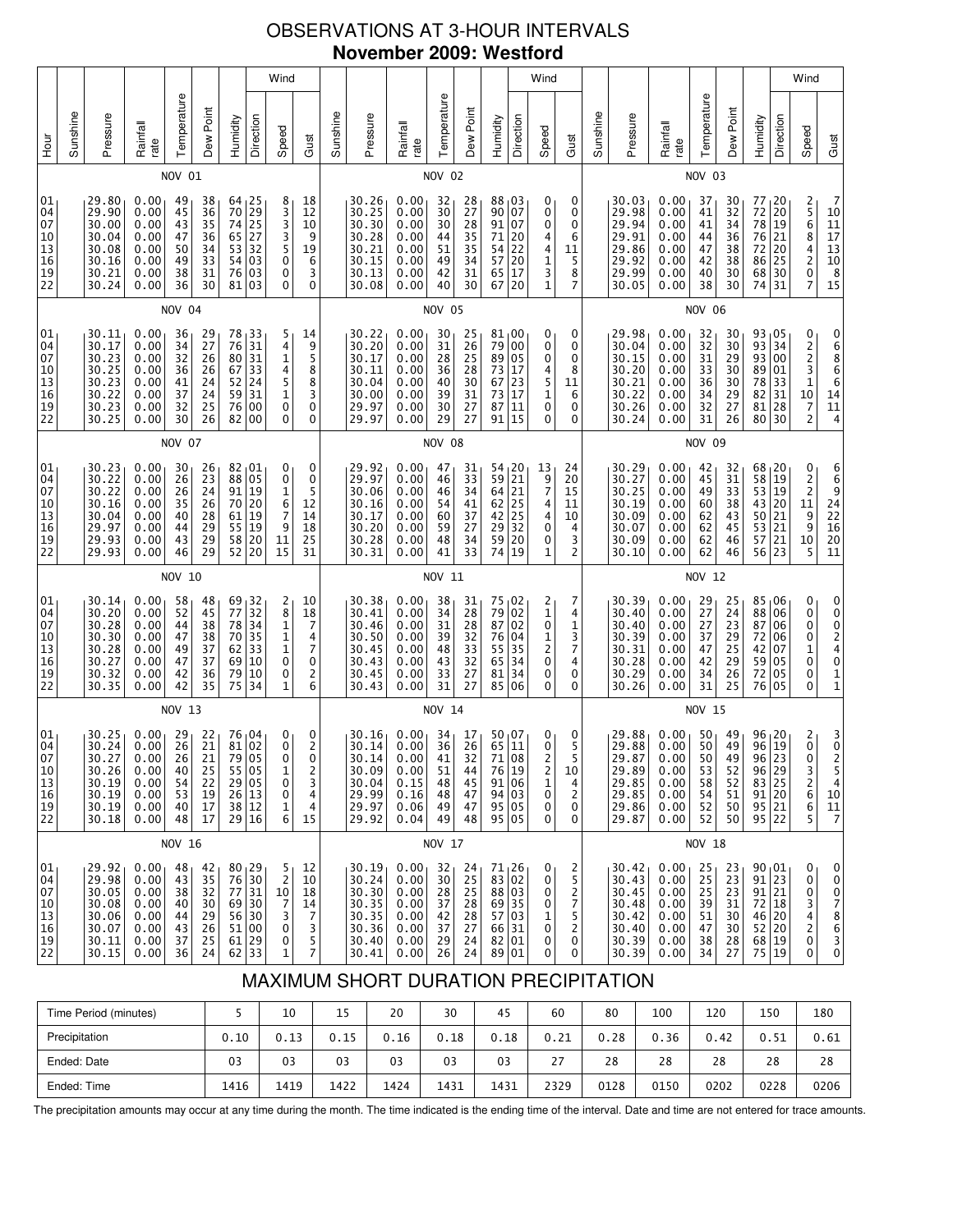# OBSERVATIONS AT 3-HOUR INTERVALS **November 2009: Westford**

| 01 <sub>1</sub><br>04<br>07<br>10<br>13<br>16<br>19<br>22                 |        | 01<br>04<br>07<br>10<br>13<br>16<br>19<br>22                                                         | 01<br>04<br>07<br>10<br>13<br>16<br>19<br>22                                            |        | 01<br>04<br>07<br>10<br>13<br>16<br>19<br>22                                              |               | 01<br>04<br>07<br>10<br>13<br>16<br>19<br>22                                        |               | 01<br>04<br>07<br>10<br>$\begin{array}{c} 13 \\ 16 \end{array}$<br>19<br>22             | Hour                  |
|---------------------------------------------------------------------------|--------|------------------------------------------------------------------------------------------------------|-----------------------------------------------------------------------------------------|--------|-------------------------------------------------------------------------------------------|---------------|-------------------------------------------------------------------------------------|---------------|-----------------------------------------------------------------------------------------|-----------------------|
|                                                                           |        |                                                                                                      |                                                                                         |        |                                                                                           |               |                                                                                     |               |                                                                                         | Sunshine              |
| 29.92<br>29.98<br>30.05<br>30.08<br>30.06<br>30.07<br>30.11<br>30.15      |        | 30.25<br>30.24<br>30.27<br>30.26<br>30.19<br>30.19<br>30.19<br>30.18                                 | 30.14<br>30.20<br>30.28<br>30.30<br>30.28<br>30.27<br>30.32<br>30.35                    |        | 30.23<br>30.22<br>30.22<br>30.16<br>30.04<br>29.97<br>29.93<br>29.93                      |               | 30.11<br>30.17<br>30.23<br>30.25<br>30.23<br>30.22<br>30.23<br>30.25                |               | 29.80<br>29.90<br>30.00<br>30.04<br>30.08<br>30.16<br>30.21<br>30.24                    | Pressure              |
| 0.00<br>0.00<br>0.00<br>0.00<br>0.00<br>0.00<br>0.00<br>0.00              |        | 0.00<br>0.00<br>0.00<br>0.00<br>0.00<br>0.00<br>0.00<br>0.00                                         | 0.00<br>0.00<br>0.00<br>0.00<br>0.00<br>0.00<br>0.00<br>0.00                            |        | 0.00<br>0.00<br>0.00<br>0.00<br>0.00<br>0.00<br>0.00<br>0.00                              |               | 0.00<br>0.00<br>0.00<br>0.00<br>0.00<br>0.00<br>0.00<br>0.00                        |               | 0.00<br>0.00<br>0.00<br>0.00<br>0.00<br>0.00<br>0.00<br>0.00                            | Rainfall<br>rate      |
| 48<br>43<br>38<br>40<br>44<br>43<br>37<br>36                              | NOV 16 | NOV 13<br>29<br>26<br>26 l<br>40<br>54<br>53<br>40<br>48                                             | 58<br>52<br>44<br>47<br>49<br>47<br>42<br>42                                            | NOV 10 | 30<br>26<br>26<br>35<br>40<br>44<br>43<br>46                                              | <b>NOV 07</b> | 36<br>34<br>32<br>36<br>41<br>37<br>32<br>30                                        | <b>NOV 04</b> | NOV 01<br>49<br>45<br>43<br>47<br>50<br>49<br>38<br>36                                  | Temperature           |
| 42<br>35<br>32<br>30<br>29<br>26<br>25<br>24                              |        | 22<br>21<br>21<br>25<br>22<br>19<br>17<br>17                                                         | 48<br>45<br>38<br>38<br>37<br>37<br>36<br>35                                            |        | 26<br>23<br>24<br>26<br>28<br>29<br>29<br>29                                              |               | 29<br>27<br>26<br>26<br>24<br>24<br>25<br>26                                        |               | 38<br>36<br>35<br>36<br>34<br>33<br>31<br>30                                            | Dew Point             |
| 80, 29<br>76 30<br>77 31<br>69 30<br>56 30<br>51 00<br>61 29<br>62 33     |        | 76 04<br>81 02<br>79 05<br>55 05<br>29 05<br>26 13<br>38 12<br>29 16                                 | 69, 32<br>77<br>78<br>70<br>62<br>69<br>79<br>75                                        |        | 82,01<br>88 05<br>91<br>70<br>$\frac{61}{55}$<br>58 20<br>52                              |               | 78 33<br>76 31<br>80 31<br>67<br>$52$ 24<br>59<br>76 00<br>82 00                    |               | 64 25<br>70<br>74<br>65 27<br>53<br>54 03<br>76<br>81 03                                | Humidity              |
|                                                                           |        |                                                                                                      | 32<br>34<br>35<br>33<br>10<br>10<br>34                                                  |        | 19<br>20<br>19<br>19<br>20                                                                |               | 33<br>31                                                                            |               | 29<br>25<br>32<br>03                                                                    | Direction             |
| 5<br>$\overline{2}$<br>10<br>7<br>3<br>0<br>0<br>1                        |        | 0<br>0<br>$\Omega$<br>1<br>0<br>0<br>1<br>6                                                          | 2<br>8<br>1<br>1<br>$\mathbf 1$<br>0<br>0<br>1                                          |        | 0<br>0<br>1<br>6<br>7<br>9<br>11<br>15                                                    |               | 5<br>4<br>1<br>4<br>5<br>1<br>0<br>0                                                |               | 8<br>3<br>3<br>3<br>5<br>0<br>0<br>0                                                    | Wind<br>Speed         |
| 12<br>10<br>18<br>14<br>7<br>3<br>5<br>7                                  |        | $\begin{smallmatrix}0\0\2\end{smallmatrix}$<br>$\Omega$<br>2<br>3<br>4<br>4<br>15                    | 10<br>18<br>7<br>4<br>7<br>0<br>$\overline{\mathbf{c}}$<br>6                            |        | 0<br>$\mathbf 0$<br>5<br>12<br>14<br>18<br>25<br>31                                       |               | 14<br>9<br>5<br>8<br>8<br>3<br>0<br>$\mathbf 0$                                     |               | 18<br>12<br>10<br>9<br>19<br>6<br>3<br>0                                                | Gust                  |
|                                                                           |        |                                                                                                      |                                                                                         |        |                                                                                           |               |                                                                                     |               |                                                                                         | Sunshine              |
| 30.19<br>30.24<br>30.30<br>30.35<br>30.35<br>30.36<br>30.40<br>30.41      |        | 30.16<br>30.14<br>30.14<br>30.09<br>30.04<br>29.99<br>29.97<br>29.92                                 | 30.38<br>30.41<br>30.46<br>30.50<br>30.45<br>30.43<br>30.45<br>30.43                    |        | 29.92<br>29.97<br>30.06<br>30.16<br>30.17<br>30.20<br>30.28<br>30.31                      |               | 30.22<br>30.20<br>30.17<br>30.11<br>30.04<br>30.00<br>29.97<br>29.97                |               | 30.26<br>30.25<br>30.30<br>30.28<br>30.21<br>30.15<br>30.13<br>30.08                    | Pressure              |
| 0.00<br>0.00<br>0.00<br>0.00<br>0.00<br>0.00<br>0.00<br>0.00              |        | 0.00<br>0.00<br>0.00<br>0.00<br>0.15<br>0.16<br>0.06<br>0.04                                         | 0.00<br>0.00<br>0.00<br>0.00<br>0.00<br>0.00<br>0.00<br>0.00                            |        | 0.00<br>0.00<br>0.00<br>0.00<br>0.00<br>0.00<br>0.00<br>0.00                              |               | 0.00<br>0.00<br>0.00<br>0.00<br>0.00<br>0.00<br>0.00<br>0.00                        |               | 0.00<br>0.00<br>0.00<br>0.00<br>0.00<br>0.00<br>0.00<br>0.00                            | Rainfall<br>rate      |
| 32 <sub>1</sub><br>30<br>28<br>37<br>42<br>37<br>29<br>26                 | NOV 17 | <b>NOV 14</b><br>34<br>36<br>41<br>51<br>48<br>48<br>49<br>49                                        | 38<br>34<br>31<br>39<br>48<br>43<br>33<br>31                                            | NOV 11 | 47<br>46<br>46<br>54<br>60<br>59<br>48<br>41                                              | <b>NOV 08</b> | 30<br>31<br>28<br>36<br>40<br>39<br>30<br>29                                        | <b>NOV 05</b> | <b>NOV 02</b><br>32<br>30<br>30<br>44<br>51<br>49<br>42<br>40                           | Temperature           |
| 24<br>25<br>25<br>28<br>28<br>27<br>24<br>24                              |        | 17<br>26<br>32<br>44<br>45<br>47<br>47<br>48                                                         | 31<br>28<br>$\frac{28}{32}$<br>33<br>32<br>27<br>27                                     |        | 31<br>33<br>34<br>41<br>37<br>27<br>34<br>33                                              |               | 25<br>26<br>25<br>28<br>30<br>31<br>27<br>27                                        |               | 28<br>27<br>28<br>35<br>35<br>34<br>31<br>30                                            | Dew Point             |
| $71_126$<br>83 02<br>88 03<br>69 35<br>57 03<br>66 31<br>82 01<br>89 01   |        | $50_{\parallel}07$<br>$\overline{11}$<br>65<br>71<br>08<br>76 19<br>91 06<br>94 03<br>95 05<br>95 05 | 75 02<br>79<br>  02<br>87 02<br>76<br>  04<br>55<br>35<br>65<br>34<br>81<br>34<br>85 06 |        | 54, 20<br>59<br>21<br>$64$   21<br>$62$ 25<br>42<br>25<br>29<br>32<br>59 20<br>74  <br>19 |               | 81,00<br>79<br> 00<br>89 05<br>73 17<br>67 23<br>73<br>17<br>87<br>11<br>91 <br>15  |               | 88   03<br>90<br>  07<br>91 07<br>71<br>20<br>54<br>22<br>57 20<br>65<br>17<br>67<br>20 | Direction<br>Humidity |
| 0<br>0<br>0<br>0<br>1<br>0<br>0<br>0                                      |        | 0<br>0<br>$\overline{2}$<br>2<br>1<br>0<br>0<br>0                                                    | 2<br>1<br>0<br>1<br>2<br>0<br>0<br>0                                                    |        | 13<br>9<br>$\overline{7}$<br>4<br>4<br>0<br>0<br>1                                        |               | 0<br>0<br>0<br>4<br>5<br>1<br>0<br>0                                                |               | 0<br>0<br>0<br>4<br>4<br>1<br>3<br>1                                                    | Wind<br>Speed         |
| 2<br>5<br>$\overline{c}$<br>7<br>5<br>2<br>0<br>0                         |        | 0<br>5<br>5<br>10<br>4<br>$\overline{c}$<br>0<br>0                                                   | 7<br>4<br>1<br>3<br>7<br>4<br>0<br>0                                                    |        | 24<br>20<br>15<br>11<br>10<br>4<br>3<br>2                                                 |               | 0<br>0<br>0<br>8<br>11<br>6<br>0<br>0                                               |               | 0<br>0<br>0<br>6<br>11<br>5<br>8<br>7                                                   | Gust                  |
|                                                                           |        |                                                                                                      |                                                                                         |        |                                                                                           |               |                                                                                     |               |                                                                                         | Sunshine              |
| 30.42<br>30.43<br>30.45<br>30.48<br>30.42<br>30.40<br>30.39<br>30.39      |        | 29.88<br>29.88<br>29.87<br>29.89<br>29.85<br>29.85<br>29.86<br>29.87                                 | 30.39<br>30.40<br>30.40<br>30.39<br>30.31<br>30.28<br>30.29<br>30.26                    |        | 30.29<br>30.27<br>30.25<br>30.19<br>30.09<br>30.07<br>30.09<br>30.10                      |               | 29.98<br>30.04<br>30.15<br>30.20<br>30.21<br>30.22<br>30.26<br>30.24                |               | 30.03<br>29.98<br>29.94<br>29.91<br>29.86<br>29.92<br>29.99<br>30.05                    | Pressure              |
| 0.00 <sub>1</sub><br>0.00<br>0.00<br>0.00<br>0.00<br>0.00<br>0.00<br>0.00 |        | 0.00<br>0.00<br>0.00<br>0.00<br>0.00<br>0.00<br>0.00<br>0.00                                         | 0.00<br>0.00<br>0.00<br>0.00<br>0.00<br>0.00<br>0.00<br>0.00                            |        | 0.00<br>0.00<br>0.00<br>0.00<br>0.00<br>0.00<br>0.00<br>0.00                              |               | 0.00<br>0.00<br>0.00<br>0.00<br>0.00<br>0.00<br>0.00<br>0.00                        |               | 0.00<br>0.00<br>0.00<br>0.00<br>0.00<br>0.00<br>0.00<br>0.00                            | Rainfall<br>rate      |
| 25<br>25<br>25<br>39<br>51<br>47<br>38<br>34                              | NOV 18 | NOV 15<br>50<br>50<br>50 <sub>1</sub><br>53<br>58<br>54<br>52<br>52                                  | 29<br>27<br>27<br>37<br>47<br>42<br>34<br>31                                            | NOV 12 | 42<br>45<br>49<br>60<br>62<br>62<br>62<br>62                                              | <b>NOV 09</b> | 32<br>32<br>31<br>33<br>36<br>34<br>32<br>31                                        | <b>NOV 06</b> | NOV 03<br>37<br>41<br>41<br>44<br>47<br>42<br>40<br>38                                  | Temperature           |
| 23<br>23<br>23<br>31<br>30<br>30<br>28<br>27                              |        | 49<br>49<br>49<br>52<br>52<br>51<br>50<br>50                                                         | 25<br>24<br>23<br>$\frac{29}{25}$<br>29<br>26<br>25                                     |        | 32<br>31<br>33<br>38<br>43<br>45<br>46<br>46                                              |               | 30<br>30<br>29<br>30<br>30<br>29<br>27<br>26                                        |               | 30<br>32<br>34<br>36<br>38<br>38<br>30<br>30                                            | Dew Point             |
| $90_{1}01$<br>91 23<br>91 21<br>72 18<br>46 20<br>52 20<br>68 19<br>75 19 |        | 96 20<br>96 19<br>96 23<br>96 29<br>83 25<br>91 20<br>95 21<br>95 22                                 | 85,06<br>88<br>87<br>72<br>42<br>59<br>72<br>76                                         |        | 68, 20<br>58<br>53 19<br>43 20<br>50<br>53<br>57<br>56                                    |               | 93 05<br>93 34<br>93 00<br>89 01<br>78 33<br>82<br>81<br>80 30                      |               | 77<br>72<br>78<br>76 21<br>72<br>86<br>68 30<br>74                                      | Humidity              |
|                                                                           |        |                                                                                                      | 06<br>06<br>06<br>07<br>05<br>05<br>  05                                                |        | 19<br> 21<br> 21<br> 21<br>23                                                             |               | 31<br>28                                                                            |               | 20<br>20<br>19<br>20<br>25<br>31                                                        | Direction             |
| 0<br>0<br>0<br>3<br>4<br>$\overline{\mathbf{c}}$<br>0<br>0                |        | $\begin{matrix} 2 \\ 0 \end{matrix}$<br>$\mathbf{0}$<br>3<br>6<br>6<br>5                             | 0<br>0<br>0<br>0<br>$\mathbf{1}$<br>0<br>0<br>0                                         |        | 0<br>$\frac{2}{2}$<br>11<br>9<br>9<br>$10\,$<br>5                                         |               | 0<br>$\begin{array}{c}\n2 \\ 2 \\ 3 \\ 1\n\end{array}$<br>10<br>7<br>$\overline{2}$ |               | 2568420<br>7                                                                            | Wind<br>Speed         |
| 0<br>0<br>0<br>7<br>$\begin{array}{c} 8 \\ 6 \end{array}$<br>3<br>0       |        | $\frac{3}{0}$<br>$\overline{2}$<br>5<br>4<br>10<br>11<br>7                                           | 0<br>000240<br>$\frac{1}{1}$                                                            |        | 6<br>6<br>9<br>24<br>22<br>16<br>20<br>11                                                 |               | 0<br>6<br>8<br>6<br>6<br>$\begin{array}{c} 14 \\ 11 \end{array}$<br>4               |               | 7<br>$10\,$<br>$\frac{11}{17}$<br>$\frac{13}{10}$<br>8<br>15                            | Gust                  |

# MAXIMUM SHORT DURATION PRECIPITATION

| Time Period (minutes) |      | 10   | 15   | 20   | 30   | 45   | 60   | 80   | 100  | 120  | 150  | 180  |
|-----------------------|------|------|------|------|------|------|------|------|------|------|------|------|
| Precipitation         | 0.10 | 0.13 | 0.15 | 0.16 | 0.18 | 0.18 | 0.21 | 0.28 | 0.36 | 0.42 | 0.51 | 0.61 |
| Ended: Date           | 03   | 03   | 03   | 03   | 03   | 03   | 27   | 28   | 28   | 28   | 28   | 28   |
| Ended: Time           | 1416 | 1419 | 1422 | 1424 | 1431 | 1431 | 2329 | 0128 | 0150 | 0202 | 0228 | 0206 |

The precipitation amounts may occur at any time during the month. The time indicated is the ending time of the interval. Date and time are not entered for trace amounts.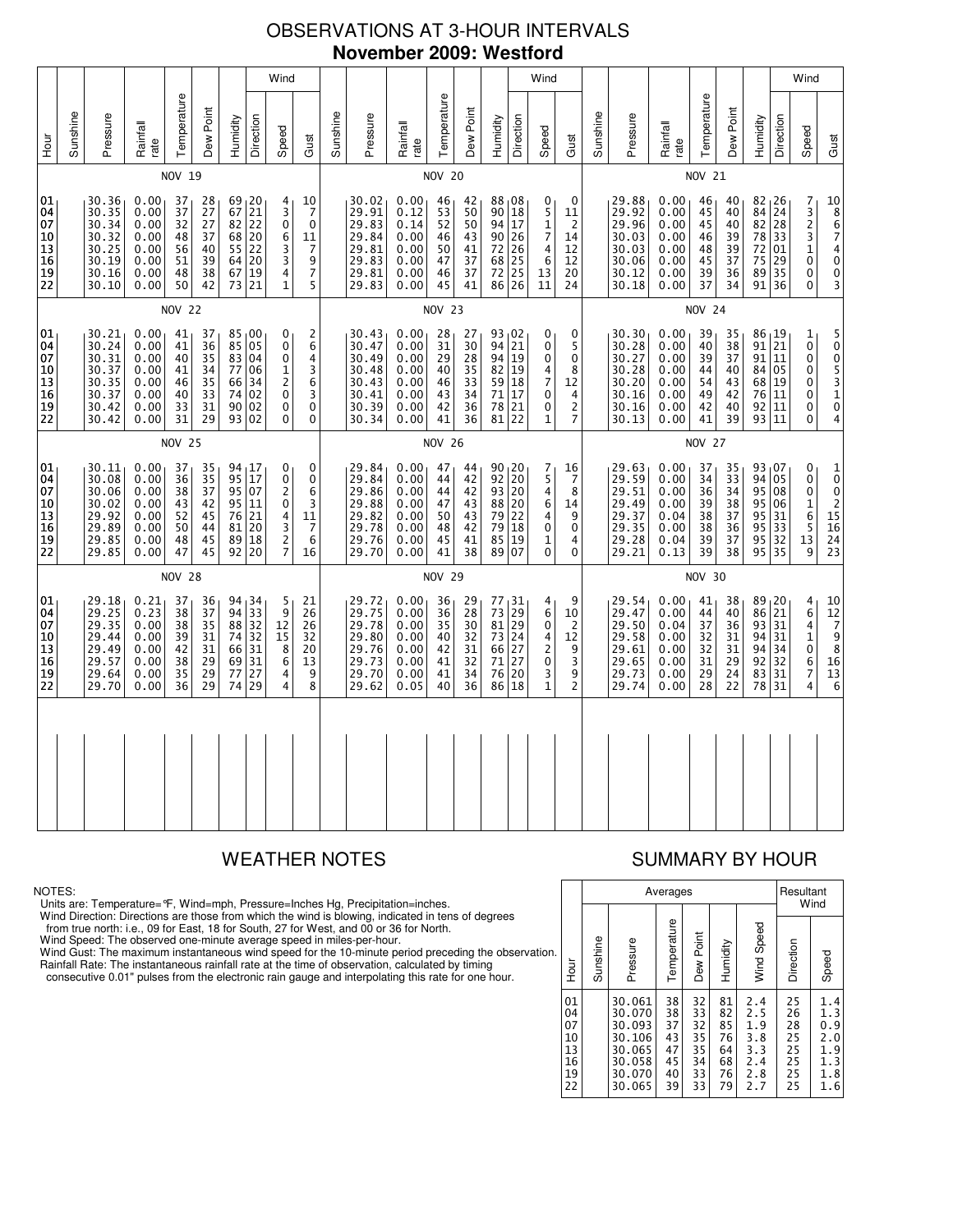# OBSERVATIONS AT 3-HOUR INTERVALS **November 2009: Westford**

|                                              |          |                                                                      |                                                              |                                              |                                              |                                              |                                                     | Wind                                                            |                                                               |          |                                                                      |                                                              |                                              |                                                           |                                                                                               |                                                       | Wind                                                                  |                                                     |          |                                                                      |                                                              |                                              |                                              |                                                                      |                       | Wind                                                        |                                                                                                                                   |
|----------------------------------------------|----------|----------------------------------------------------------------------|--------------------------------------------------------------|----------------------------------------------|----------------------------------------------|----------------------------------------------|-----------------------------------------------------|-----------------------------------------------------------------|---------------------------------------------------------------|----------|----------------------------------------------------------------------|--------------------------------------------------------------|----------------------------------------------|-----------------------------------------------------------|-----------------------------------------------------------------------------------------------|-------------------------------------------------------|-----------------------------------------------------------------------|-----------------------------------------------------|----------|----------------------------------------------------------------------|--------------------------------------------------------------|----------------------------------------------|----------------------------------------------|----------------------------------------------------------------------|-----------------------|-------------------------------------------------------------|-----------------------------------------------------------------------------------------------------------------------------------|
| 들<br>오                                       | Sunshine | Pressure                                                             | Rainfall<br>rate                                             | Temperature                                  | Dew Point                                    | Humidity                                     | Direction                                           | Speed                                                           | Gust                                                          | Sunshine | Pressure                                                             | Rainfall<br>rate                                             | Temperature                                  | Dew Point                                                 | Humidity                                                                                      | Direction                                             | Speed                                                                 | Gust                                                | Sunshine | Pressure                                                             | Rainfall<br>rate                                             | Temperature                                  | Dew Point                                    | Humidity                                                             | Direction             | Speed                                                       | Gust                                                                                                                              |
|                                              |          |                                                                      |                                                              | NOV 19                                       |                                              |                                              |                                                     |                                                                 |                                                               |          |                                                                      |                                                              | <b>NOV 20</b>                                |                                                           |                                                                                               |                                                       |                                                                       |                                                     |          |                                                                      |                                                              | <b>NOV 21</b>                                |                                              |                                                                      |                       |                                                             |                                                                                                                                   |
| 01<br>04<br>07<br>10<br>13<br>16<br>19<br>22 |          | 30.36<br>30.35<br>30.34<br>30.32<br>30.25<br>30.19<br>30.16<br>30.10 | 0.00<br>0.00<br>0.00<br>0.00<br>0.00<br>0.00<br>0.00<br>0.00 | 37<br>37<br>32<br>48<br>56<br>51<br>48<br>50 | 28<br>27<br>27<br>37<br>40<br>39<br>38<br>42 | 67<br>82<br>68<br>55<br>64<br>67<br>73       | 69 20<br>21<br>22<br>20<br>22<br>20<br>19<br>21     | 4<br>3<br>$\bar{0}$<br>6<br>$\frac{3}{3}$<br>4<br>1             | 10<br>7<br>$\mathbf 0$<br>11<br>7<br>9<br>$\overline{7}$<br>5 |          | 30.02<br>29.91<br>29.83<br>29.84<br>29.81<br>29.83<br>29.81<br>29.83 | 0.00<br>0.12<br>0.14<br>0.00<br>0.00<br>0.00<br>0.00<br>0.00 | 46<br>53<br>52<br>46<br>50<br>47<br>46<br>45 | 42<br>50<br>50<br>43<br>41<br>37<br>37<br>41              | 88,08<br>90<br>94<br>90<br>72<br>68<br>72<br>86                                               | 18<br>17<br>26<br>$\frac{26}{25}$<br>25<br>26         | 0<br>5<br>$\mathbf{1}$<br>$\overline{7}$<br>4<br>6<br>13<br>11        | 0<br>11<br>2<br>14<br>12<br>12<br>20<br>24          |          | 29.88<br>29.92<br>29.96<br>30.03<br>30.03<br>30.06<br>30.12<br>30.18 | 0.00<br>0.00<br>0.00<br>0.00<br>0.00<br>0.00<br>0.00<br>0.00 | 46<br>45<br>45<br>46<br>48<br>45<br>39<br>37 | 40<br>40<br>40<br>39<br>39<br>37<br>36<br>34 | $82 \mid 26$<br>84<br>82 28<br>78<br>72<br>75<br>89 35<br>91 36      | 24<br>33<br>01<br>29  | 7<br>$\frac{3}{2}$<br>3<br>$\mathbf 1$<br>0<br>0<br>0       | 10<br>8<br>6<br>7<br>$\begin{array}{c} 4 \\ 0 \end{array}$<br>$\begin{smallmatrix}0\3 \end{smallmatrix}$                          |
|                                              |          |                                                                      |                                                              | <b>NOV 22</b>                                |                                              |                                              |                                                     |                                                                 |                                                               |          |                                                                      |                                                              | <b>NOV 23</b>                                |                                                           |                                                                                               |                                                       |                                                                       |                                                     |          |                                                                      |                                                              | <b>NOV 24</b>                                |                                              |                                                                      |                       |                                                             |                                                                                                                                   |
| 01<br>04<br>07<br>10<br>13<br>16<br>19<br>22 |          | 30.21<br>30.24<br>30.31<br>30.37<br>30.35<br>30.37<br>30.42<br>30.42 | 0.00<br>0.00<br>0.00<br>0.00<br>0.00<br>0.00<br>0.00<br>0.00 | 41<br>41<br>40<br>41<br>46<br>40<br>33<br>31 | 37<br>36<br>35<br>34<br>35<br>33<br>31<br>29 | 85<br>83<br>77<br>66<br>74<br>93             | 85,00<br>05<br>04<br>06<br>34<br>02<br>90 02<br>02  | 0<br>0<br>0<br>1<br>$\overline{c}$<br>0<br>0<br>0               | 2<br>6<br>4<br>3<br>6<br>3<br>0<br>$\mathbf{0}$               |          | 30.43<br>30.47<br>30.49<br>30.48<br>30.43<br>30.41<br>30.39<br>30.34 | 0.00<br>0.00<br>0.00<br>0.00<br>0.00<br>0.00<br>0.00<br>0.00 | 28<br>31<br>29<br>40<br>46<br>43<br>42<br>41 | 27<br>30<br>28<br>$\overline{35}$<br>33<br>34<br>36<br>36 | 93 02<br>94<br>94<br>82<br>59<br>71<br>78<br>81                                               | 21<br>19<br>19<br>18<br>$\frac{17}{21}$<br>22         | 0<br>$\mathbf 0$<br>0<br>4<br>$\overline{7}$<br>$\mathbf 0$<br>0<br>1 | 0<br>5<br>0<br>8<br>12<br>4<br>2<br>7               |          | 30.30<br>30.28<br>30.27<br>30.28<br>30.20<br>30.16<br>30.16<br>30.13 | 0.00<br>0.00<br>0.00<br>0.00<br>0.00<br>0.00<br>0.00<br>0.00 | 39<br>40<br>39<br>44<br>54<br>49<br>42<br>41 | 35<br>38<br>37<br>40<br>43<br>42<br>40<br>39 | 86 19<br>91 21<br>91 11<br>84 05<br>68 19<br>76 11<br>92 11<br>93 11 |                       | 1<br>$\overline{0}$<br>0<br>0<br>0<br>0<br>0<br>0           | 5005310<br>4                                                                                                                      |
|                                              |          |                                                                      |                                                              | <b>NOV 25</b>                                |                                              |                                              |                                                     |                                                                 |                                                               |          |                                                                      |                                                              | <b>NOV 26</b>                                |                                                           |                                                                                               |                                                       |                                                                       |                                                     |          |                                                                      |                                                              | <b>NOV 27</b>                                |                                              |                                                                      |                       |                                                             |                                                                                                                                   |
| 01<br>04<br>07<br>10<br>13<br>16<br>19<br>22 |          | 30.11<br>30.08<br>30.06<br>30.02<br>29.92<br>29.89<br>29.85<br>29.85 | 0.00<br>0.00<br>0.00<br>0.00<br>0.00<br>0.00<br>0.00<br>0.00 | 37<br>36<br>38<br>43<br>52<br>50<br>48<br>47 | 35<br>35<br>37<br>42<br>45<br>44<br>45<br>45 | 95<br>95<br>95<br>76<br>81<br>89             | 94, 17<br>17<br>07<br>11<br>21<br>20<br>18<br>92 20 | 0<br>0<br>$\overline{c}$<br>0<br>$\frac{4}{3}$<br>$\frac{2}{7}$ | 0<br>0<br>6<br>3<br>11<br>7<br>6<br>16                        |          | 29.84<br>29.84<br>29.86<br>29.88<br>29.82<br>29.78<br>29.76<br>29.70 | 0.00<br>0.00<br>0.00<br>0.00<br>0.00<br>0.00<br>0.00<br>0.00 | 47<br>44<br>44<br>47<br>50<br>48<br>45<br>41 | 44<br>42<br>42<br>43<br>43<br>42<br>41<br>38              | $\begin{array}{c c} 90 & 20 \\ 92 & 20 \end{array}$<br>93<br>88 20<br>79<br>79<br>85<br>89 07 | $\overline{20}$<br>$^{22}_{18}$<br>19                 | 7<br>5<br>4<br>6<br>4<br>$\pmb{0}$<br>1<br>0                          | 16<br>7<br>8<br>14<br>9<br>0<br>4<br>0              |          | 29.63<br>29.59<br>29.51<br>29.49<br>29.37<br>29.35<br>29.28<br>29.21 | 0.00<br>0.00<br>0.00<br>0.00<br>0.04<br>0.00<br>0.04<br>0.13 | 37<br>34<br>36<br>39<br>38<br>38<br>39<br>39 | 35<br>33<br>34<br>38<br>37<br>36<br>37<br>38 | 93,07<br>94 05<br>95 08<br>95 06<br>95<br>95<br>95 32<br>95 35       | 31<br>$\overline{33}$ | 0<br>0<br>0<br>$\mathbf 1$<br>6<br>5<br>13<br>9             | $\begin{smallmatrix}1\0\end{smallmatrix}$<br>$\mathbf 0$<br>$\overline{c}$<br>$\begin{array}{c} 15 \\ 16 \end{array}$<br>24<br>23 |
|                                              |          |                                                                      |                                                              | <b>NOV 28</b>                                |                                              |                                              |                                                     |                                                                 |                                                               |          |                                                                      |                                                              | <b>NOV 29</b>                                |                                                           |                                                                                               |                                                       |                                                                       |                                                     |          |                                                                      | NOV 30                                                       |                                              |                                              |                                                                      |                       |                                                             |                                                                                                                                   |
| 01<br>04<br>07<br>10<br>13<br>16<br>19<br>22 |          | 29.18<br>29.25<br>29.35<br>29.44<br>29.49<br>29.57<br>29.64<br>29.70 | 0.21<br>0.23<br>0.00<br>0.00<br>0.00<br>0.00<br>0.00<br>0.00 | 37<br>38<br>38<br>39<br>42<br>38<br>35<br>36 | 36<br>37<br>35<br>31<br>31<br>29<br>29<br>29 | 94<br>94<br>88<br>74<br>66<br>69<br>77<br>74 | 34<br>33<br>32<br>32<br>31<br>31<br>27<br>29        | 5<br>9<br>12<br>15<br>8<br>6<br>4<br>4                          | 21<br>26<br>26<br>32<br>20<br>13<br>9<br>8                    |          | 29.72<br>29.75<br>29.78<br>29.80<br>29.76<br>29.73<br>29.70<br>29.62 | 0.00<br>0.00<br>0.00<br>0.00<br>0.00<br>0.00<br>0.00<br>0.05 | 36<br>36<br>35<br>40<br>42<br>41<br>41<br>40 | 29<br>28<br>30<br>32<br>31<br>32<br>34<br>36              | 77<br>73<br>81<br>73<br>66 27<br>71<br>76<br>86                                               | 31 ا<br>29<br>29<br>24<br>27<br>20<br>$\overline{18}$ | 4<br>6<br>0<br>4<br>2<br>0<br>3<br>1                                  | 9<br>10<br>$\overline{c}$<br>12<br>9<br>3<br>9<br>2 |          | 29.54<br>29.47<br>29.50<br>29.58<br>29.61<br>29.65<br>29.73<br>29.74 | 0.00<br>0.00<br>0.04<br>0.00<br>0.00<br>0.00<br>0.00<br>0.00 | 41<br>44<br>37<br>32<br>32<br>31<br>29<br>28 | 38<br>40<br>36<br>31<br>31<br>29<br>24<br>22 | 89, 20<br>86<br>93 31<br>94 31<br>94 34<br>92<br>83<br>78            | 21<br>32<br>31<br>31  | 4<br>6<br>4<br>$\mathbf 1$<br>0<br>6<br>$\overline{7}$<br>4 | 10<br>12<br>7<br>9<br>8<br>16<br>13<br>6                                                                                          |
|                                              |          |                                                                      |                                                              |                                              |                                              |                                              |                                                     |                                                                 |                                                               |          |                                                                      |                                                              |                                              |                                                           |                                                                                               |                                                       |                                                                       |                                                     |          |                                                                      |                                                              |                                              |                                              |                                                                      |                       |                                                             |                                                                                                                                   |

### NOTES:

Units are: Temperature=°F, Wind=mph, Pressure=Inches Hg, Precipitation=inches.

Wind Direction: Directions are those from which the wind is blowing, indicated in tens of degrees<br>from true north: i.e., 09 for East, 18 for South, 27 for West, and 00 or 36 for North.<br>Wind Speed: The observed one-minute a

Wind Gust: The maximum instantaneous wind speed for the 10-minute period preceding the observation Rainfall Rate: The instantaneous rainfall rate at the time of observation, calculated by timing

consecutive 0.01" pulses from the electronic rain gauge and interpolating this rate for one hour.

# WEATHER NOTES SUMMARY BY HOUR

|    |                                              |          |                                                                              | Averages                                     |                                              |                                              |                                                      | Resultant                                    | Wind                                                 |
|----|----------------------------------------------|----------|------------------------------------------------------------------------------|----------------------------------------------|----------------------------------------------|----------------------------------------------|------------------------------------------------------|----------------------------------------------|------------------------------------------------------|
| n. | Hour                                         | Sunshine | Pressure                                                                     | Temperature                                  | Dew Point                                    | Humidity                                     | Wind Speed                                           | Direction                                    | Speed                                                |
|    | 01<br>04<br>07<br>10<br>13<br>16<br>19<br>22 |          | 30.061<br>30.070<br>30.093<br>30.106<br>30.065<br>30.058<br>30.070<br>30.065 | 38<br>38<br>37<br>43<br>47<br>45<br>40<br>39 | 32<br>33<br>32<br>35<br>35<br>34<br>33<br>33 | 81<br>82<br>85<br>76<br>64<br>68<br>76<br>79 | 2.4<br>2.5<br>1.9<br>3.8<br>3.3<br>2.4<br>2.8<br>2.7 | 25<br>26<br>28<br>25<br>25<br>25<br>25<br>25 | 1.4<br>1.3<br>0.9<br>2.0<br>1.9<br>1.3<br>1.8<br>1.6 |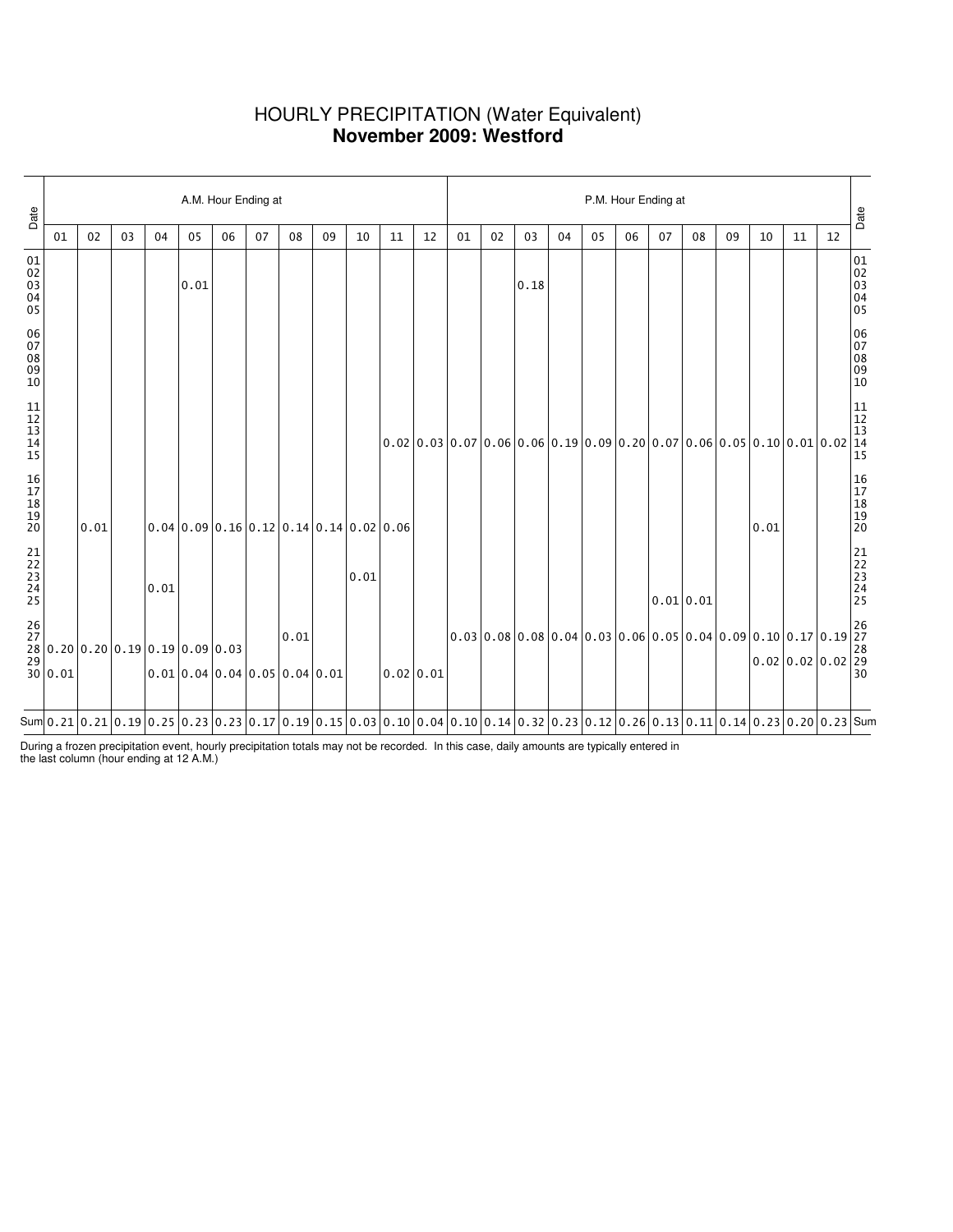## HOURLY PRECIPITATION (Water Equivalent) **November 2009: Westford**

| Date                                 |    |      |    | A.M. Hour Ending at |                                                                                                                                                                                                                                                                                                                                                              |    |    |      |    |      |    |           |    | P.M. Hour Ending at |      |    |    |    |           |    |                                                                |                                                                                                                                                 |    |    |                                  |  |  |
|--------------------------------------|----|------|----|---------------------|--------------------------------------------------------------------------------------------------------------------------------------------------------------------------------------------------------------------------------------------------------------------------------------------------------------------------------------------------------------|----|----|------|----|------|----|-----------|----|---------------------|------|----|----|----|-----------|----|----------------------------------------------------------------|-------------------------------------------------------------------------------------------------------------------------------------------------|----|----|----------------------------------|--|--|
|                                      | 01 | 02   | 03 | 04                  | 05                                                                                                                                                                                                                                                                                                                                                           | 06 | 07 | 08   | 09 | 10   | 11 | 12        | 01 | 02                  | 03   | 04 | 05 | 06 | 07        | 08 | 09                                                             | 10                                                                                                                                              | 11 | 12 | Date                             |  |  |
| 01<br>02<br>03<br>04<br>04<br>05     |    |      |    |                     | 0.01                                                                                                                                                                                                                                                                                                                                                         |    |    |      |    |      |    |           |    |                     | 0.18 |    |    |    |           |    |                                                                |                                                                                                                                                 |    |    | 01<br>02<br>03<br>04<br>05       |  |  |
| 06<br>07<br>08<br>09<br>10           |    |      |    |                     |                                                                                                                                                                                                                                                                                                                                                              |    |    |      |    |      |    |           |    |                     |      |    |    |    |           |    |                                                                |                                                                                                                                                 |    |    | 06<br>07<br>08<br>09<br>09<br>10 |  |  |
| $11$<br>$12$<br>$13$<br>$14$<br>$15$ |    |      |    |                     |                                                                                                                                                                                                                                                                                                                                                              |    |    |      |    |      |    |           |    |                     |      |    |    |    |           |    |                                                                |                                                                                                                                                 |    |    |                                  |  |  |
| 16<br>17<br>18<br>19<br>19<br>20     |    | 0.01 |    |                     | $0.04 \mid 0.09 \mid 0.16 \mid 0.12 \mid 0.14 \mid 0.14 \mid 0.02 \mid 0.06$                                                                                                                                                                                                                                                                                 |    |    |      |    |      |    |           |    |                     |      |    |    |    |           |    |                                                                | 0.01                                                                                                                                            |    |    | 16<br>17<br>18<br>19<br>19<br>20 |  |  |
| 21<br>22<br>23<br>24<br>25           |    |      |    | 0.01                |                                                                                                                                                                                                                                                                                                                                                              |    |    |      |    | 0.01 |    |           |    |                     |      |    |    |    | 0.01 0.01 |    |                                                                |                                                                                                                                                 |    |    | 21<br>22<br>23<br>24<br>24<br>25 |  |  |
|                                      |    |      |    |                     | $\begin{bmatrix} 26 \\ 27 \\ 28 \\ 29 \\ 30 \\ 0.01 \end{bmatrix} 0.20 \begin{bmatrix} 0.19 \\ 0.19 \\ 0.01 \\ 0.01 \\ 0.04 \end{bmatrix} 0.09 \begin{bmatrix} 0.03 \\ 0.03 \\ 0.04 \end{bmatrix}$<br>$0.01$ 0.04 0.04 0.05 0.04 0.01                                                                                                                        |    |    | 0.01 |    |      |    | 0.02 0.01 |    |                     |      |    |    |    |           |    | $ 0.03 0.08 0.08 0.04 0.03 0.06 0.05 0.04 0.09 0.10 0.17 0.19$ | $\begin{array}{ l l l l l } \hline 0.10 & 0.17 & 0.19 & 27 \\ \hline 0.02 & 0.02 & 0.02 & 29 \\ \hline 30 & 30 & 30 & 30 \\ \hline \end{array}$ |    |    |                                  |  |  |
|                                      |    |      |    |                     | Sum $\vert 0.21 \vert 0.21 \vert 0.19 \vert 0.25 \vert 0.23 \vert 0.23 \vert 0.17 \vert 0.19 \vert 0.15 \vert 0.03 \vert 0.10 \vert 0.04 \vert 0.10 \vert 0.14 \vert 0.32 \vert 0.23 \vert 0.12 \vert 0.26 \vert 0.13 \vert 0.11 \vert 0.14 \vert 0.23 \vert 0.20 \vert 0.23 \vert 0.20 \vert 0.23 \vert 0.20 \vert 0.23 \vert 0.20 \vert 0.23 \vert 0.20 \$ |    |    |      |    |      |    |           |    |                     |      |    |    |    |           |    |                                                                |                                                                                                                                                 |    |    |                                  |  |  |

During a frozen precipitation event, hourly precipitation totals may not be recorded. In this case, daily amounts are typically entered in the last column (hour ending at 12 A.M.)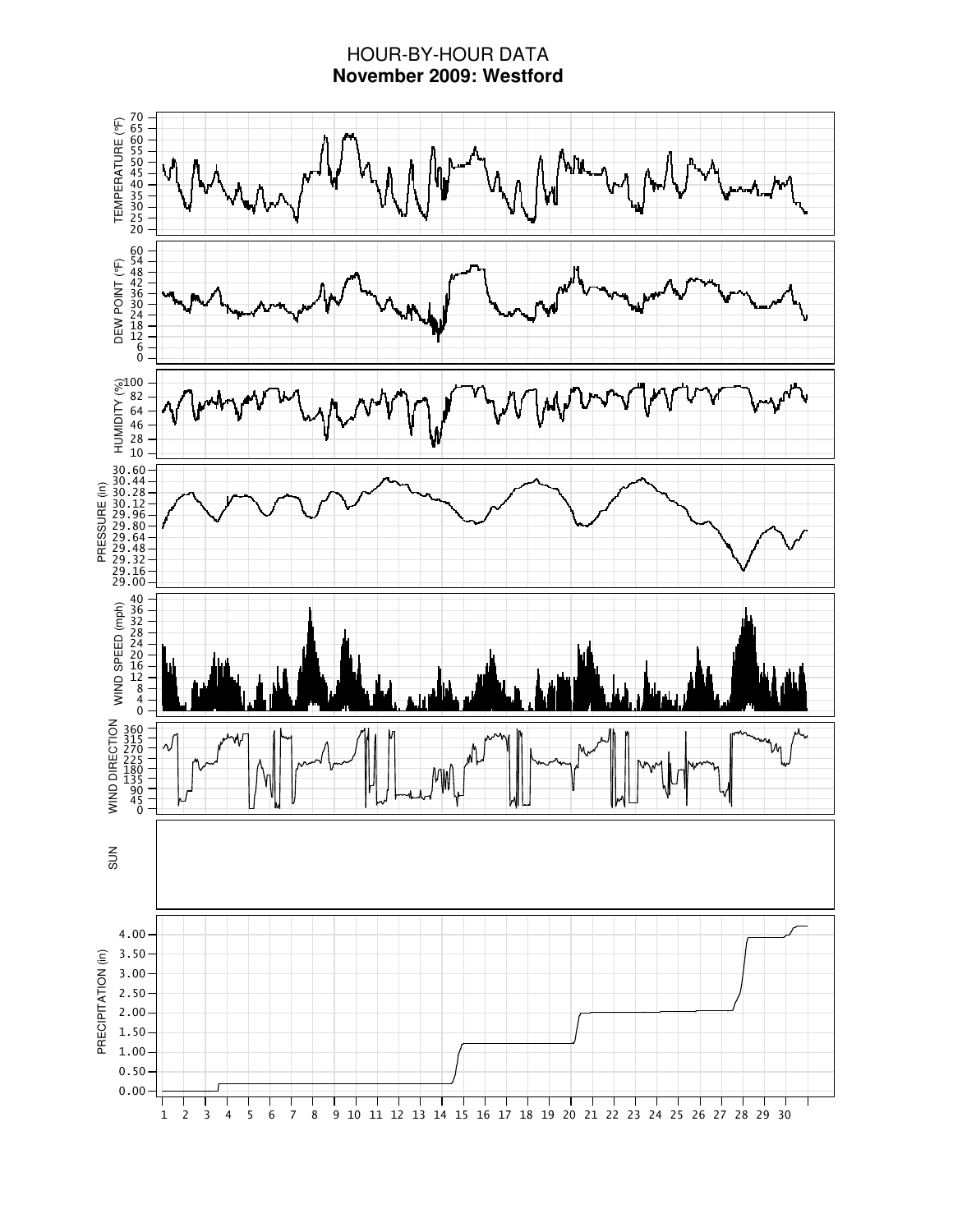# HOUR-BY-HOUR DATA **November 2009: Westford**